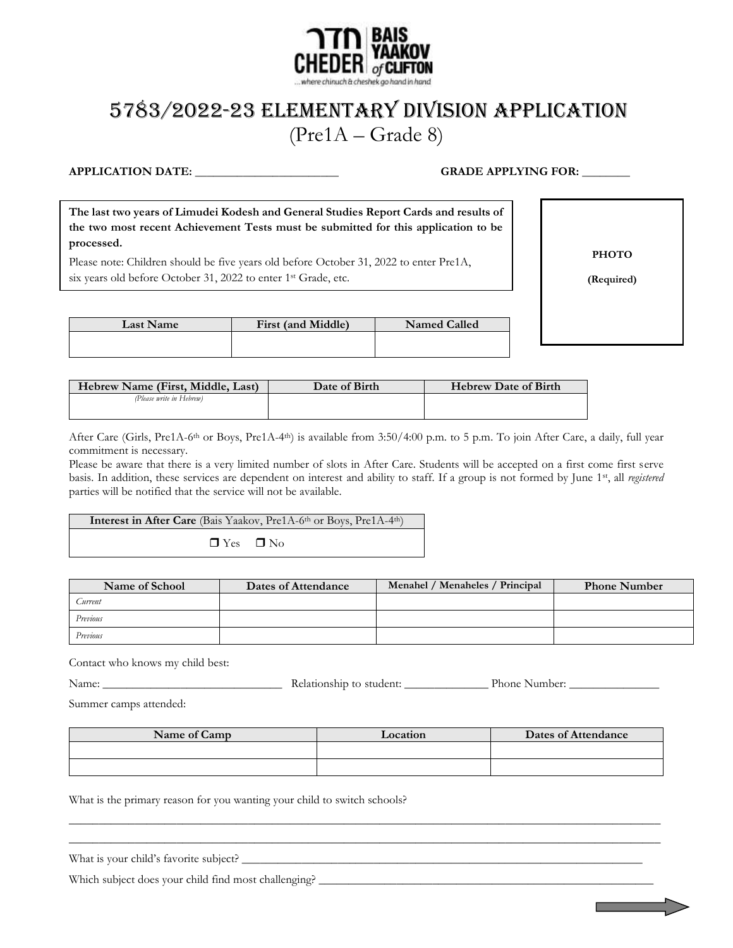

# 5783/2022-23 Elementary Division APPLICATION (Pre1A – Grade 8)

# **APPLICATION DATE: \_\_\_\_\_\_\_\_\_\_\_\_\_\_\_\_\_\_\_\_\_\_\_\_ GRADE APPLYING FOR: \_\_\_\_\_\_\_\_**

**The last two years of Limudei Kodesh and General Studies Report Cards and results of the two most recent Achievement Tests must be submitted for this application to be processed.**

Please note: Children should be five years old before October 31, 2022 to enter Pre1A, six years old before October 31, 2022 to enter 1<sup>st</sup> Grade, etc.

**PHOTO**

**(Required)**

| <b>Last Name</b> | First (and Middle) | <b>Named Called</b> |
|------------------|--------------------|---------------------|
|                  |                    |                     |

| Hebrew Name (First, Middle, Last) | Date of Birth | <b>Hebrew Date of Birth</b> |
|-----------------------------------|---------------|-----------------------------|
| (Please write in Hebrew)          |               |                             |
|                                   |               |                             |

After Care (Girls, Pre1A-6<sup>th</sup> or Boys, Pre1A-4<sup>th</sup>) is available from 3:50/4:00 p.m. to 5 p.m. To join After Care, a daily, full year commitment is necessary.

Please be aware that there is a very limited number of slots in After Care. Students will be accepted on a first come first serve basis. In addition, these services are dependent on interest and ability to staff. If a group is not formed by June 1st, all *registered* parties will be notified that the service will not be available.

# Interest in After Care (Bais Yaakov, Pre1A-6<sup>th</sup> or Boys, Pre1A-4<sup>th</sup>)

 $\Box$  Yes  $\Box$  No

| Name of School | Dates of Attendance | Menahel / Menaheles / Principal | <b>Phone Number</b> |
|----------------|---------------------|---------------------------------|---------------------|
| Current        |                     |                                 |                     |
| Previous       |                     |                                 |                     |
| Previous       |                     |                                 |                     |

Contact who knows my child best:

| Name: | student:<br>∴elat∸<br>1100SD10<br>$\cdots$<br>. | TV.<br>Phone:<br>Number:<br>____ |
|-------|-------------------------------------------------|----------------------------------|
|       |                                                 |                                  |

Summer camps attended:

| Name of Camp | Location | Dates of Attendance |
|--------------|----------|---------------------|
|              |          |                     |
|              |          |                     |

 $\_$  , and the set of the set of the set of the set of the set of the set of the set of the set of the set of the set of the set of the set of the set of the set of the set of the set of the set of the set of the set of th \_\_\_\_\_\_\_\_\_\_\_\_\_\_\_\_\_\_\_\_\_\_\_\_\_\_\_\_\_\_\_\_\_\_\_\_\_\_\_\_\_\_\_\_\_\_\_\_\_\_\_\_\_\_\_\_\_\_\_\_\_\_\_\_\_\_\_\_\_\_\_\_\_\_\_\_\_\_\_\_\_\_\_\_\_\_\_\_\_\_\_\_\_\_\_\_\_\_\_

What is the primary reason for you wanting your child to switch schools?

| What is your child's favorite subject? |  |
|----------------------------------------|--|
|                                        |  |

Which subject does your child find most challenging? \_\_\_\_\_\_\_\_\_\_\_\_\_\_\_\_\_\_\_\_\_\_\_\_\_\_\_\_\_\_\_\_\_\_\_\_\_\_\_\_\_\_\_\_\_\_\_\_\_\_\_\_\_\_\_\_